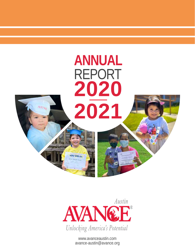



www.avanceaustin.com avance-austin@avance.org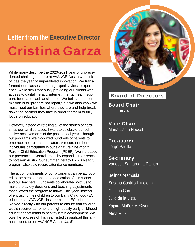## **Letter from the Executive Director** Cristina Garza

While many describe the 2020-2021 year of unprecedented challenges, here at AVANCE-Austin we think of it as the year of unparalleled innovation. We transformed our classes into a high-quality virtual experience, while simultaneously providing our clients with access to digital literacy, internet, mental health support, food, and cash assistance. We believe that our mission is to "prepare not repair," but we also know we must meet our families where they are and help break down the barriers they face in order for them to fully focus on education.

However, instead of retelling all of the stories of hardships our families faced, I want to celebrate our collective achievements of the past school year. Through our programs, we mobilized hundreds of parents to embrace their role as educators. A record number of individuals participated in our signature nine-month Parent-Child Education Program (PCEP). We increased our presence in Central Texas by expanding our reach to northern Austin. Our summer literacy H-E-B Read 3 program also saw record attendance numbers.

The accomplishments of our programs can be attributed to the perseverance and dedication of our clients and our teachers. Our clients collaborated with us to make the safety decisions and teaching adjustments that allowed the program to thrive. This year, instead of entrusting their children to our Early Childhood (EC) educators in AVANCE classrooms, our EC educators worked directly with our parents to ensure that children would receive, at home, the high-quality early childhood education that leads to healthy brain development. We owe the success of this year, listed throughout this annual report, to our AVANCE-Austin familia.

### Board of Directors

Board Chair Lisa Tomaka

Vice Chair Maria Cantú Hexsel

Treasurer Jorge Padilla

**Secretary** Vanessa Santamaria Dainton

Belinda Arambula Susana Castillo-Littlejohn Cristina Cornejo Julio de la Llata Yajaira Muñoz McKiver Alma Ruiz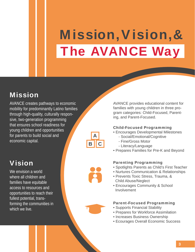# Mission,Vision,& The AVANCE Way

### Mission

AVANCE creates pathways to economic mobility for predominantly Latino families through high-quality, culturally responsive, two-generation programming that ensures school readiness for young children and opportunities for parents to build social and economic capital.

### Vision

We envision a world where all children and families have equitable access to resources and opportunities to reach their fullest potential, transforming the communities in which we live.



AVANCE provides educational content for families with young children in three program categories: Child-Focused, Parenting, and Parent-Focused.

### Child-Focused Programming

- Encourages Developmental Milestones
	- Social/Emotional/Cognitive
	- Fine/Gross Motor
	- Literacy/Language
- Prepares Families for Pre-K and Beyond

### Parenting Programming

- Spotlights Parents as Child's First Teacher
- Nurtures Communication & Relationships
- Prevents Toxic Stress, Trauma, & Child Abuse/Neglect
- Encourages Community & School Involvement

### Parent-Focused Programming

- Supports Financial Stability
- Prepares for Workforce Assimilation
- Increases Business Ownership
- Ecourages Overall Economic Success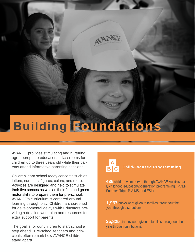# Building Foundations

AVANCE provides stimulating and nurturing, age-appropriate educational classrooms for children up to three years old while their parents attend informative parenting sessions.

Children learn school ready concepts such as letters, numbers, figures, colors, and more. Activities are designed and held to stimulate their five senses as well as their fine and gross motor skills to prepare them for pre-school. AVANCE's curriculum is centered around learning through play. Children are screened for developmental delays with Educators providing a detailed work plan and resources for extra support for parents.

The goal is for our children to start school a step ahead. Pre-school teachers and principals often remark how AVANCE children stand apart!

#### B C A Child-Focused Programming

**436** children were served through AVANCE-Austin's early childhood education/2-generation programming. (PCEP, Summer, Triple P, AIMS, and ESL)

**1,937** books were given to families throughout the year through distributions.

**35,825** diapers were given to families throughout the year through distributions.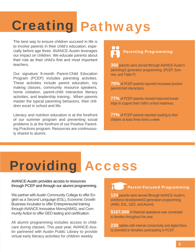# **Creating Pathways**

The best way to ensure children succeed in life is to involve parents in their child's education, especially before age three. AVANCE-Austin leverages our impact on children. We educate parents about their role as their child's first and most important teachers.

Our signature 9-month Parent-Child Education Program (PCEP) includes parenting activities. These activities include parent education, toy making classes, community resource speakers, home visitation, parent-child interactive literacy activities, and leadership training. When parents master the typical parenting behaviors, their children excel in school and life.

Literacy and nutrition education is at the forefront of our summer program and preventing social problems is at the forefront of out Positive Parent-<br>ing Practices program. Resources are continuous-<br>Iv shared to alumni ly shared to alumni.

## Parenting Programming

**356** parents were served fthrough AVANCE-Austin's parenting/2-generation programming. (PCEP, Summer, and Triple P)

**79%** of PCEP parents reported increased positive parent/child interactions.

**77%** of PCEP parents showed improved knowledge to support their child's school readiness.

**77%** of PCEP parents reported reading to their children at least three times a week.

# Providing Access

AVANCE-Austin provides access to resources through PCEP and through our alumni programming.

We partner with Austin Community College to offer English as a Second Language (ESL), Economic Growth Business Incubator to offer Entrepreneurial training through AVANCE Innovative Moms(AIMS), and Community Action to offer GED testing and certification.

All alumni programming includes access to childcare during classes. This past year, AVANCE-Austin partnered with Austin Public Library to provide virtual early literacy activities for children weekly.

### Parent-Focused Programming

**124** parents were served fthrough AVANCE-Austin's workforce development/2-generation programming. (AIMS, ESL, GED, and Alumni)

**\$167,000** in financial assistance was connected to families throughout the year.

**239** tablets with internet connectivity and digital literacy provided to famailies participating in PCEP.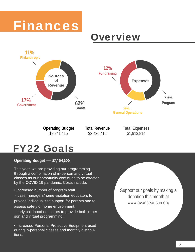

## Overview



## FY22 Goals

**Operating Budget —** \$2,184,528

This year, we are providing our programming through a combination of in-person and virtual classes as our community continues to be affected by the COVID-19 pandemic. Costs include:

• Increased number of program staff

 - case managers/home visitation educators to provide individualized support for parents and to assess safety of home environment.

- early childhood educators to provide both in-person and virtual programming.

• Increased Personal Protective Equipment used during in-personal classes and monthly distributions.

Support our goals by making a donation this month at www.avanceaustin.org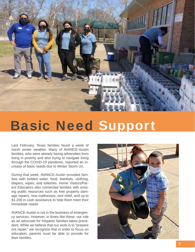

## Basic Need Support

Last February, Texas families faced a week of harsh winter weather. Many of AVANCE-Austin families, who were already facing adversities from living in poverty and also trying to navigate living through the COVID-19 pandemic, reported an increase of basic needs due to Winter Storm Uri.

During that week, AVANCE-Austin provided families with bottled water, food, blankets, clothing, diapers, wipes, and toiletries. Home Visitors/Parent Educators also connected families with existing public resources such as free property damage repairs, new mattresses, rent relief, and up to \$1,200 in cash assistance to help them meet their immediate needs

AVANCE-Austin is not in the business of emergency services. However, in times like these, our role as an advocate for Hispanic families takes precedent. While we believe that our work is to "prepare not repair," we recognize that in order to focus on education, parents must be able to provide for their families.